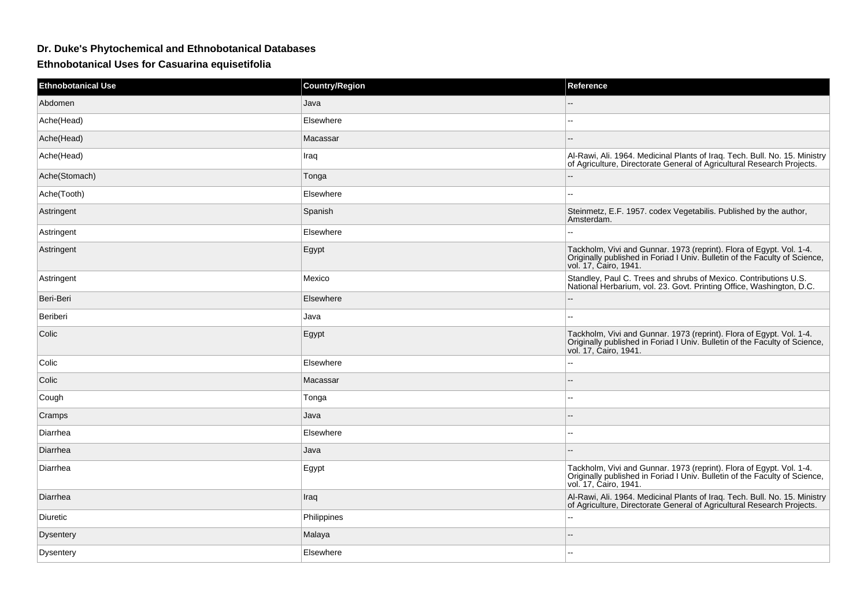## **Dr. Duke's Phytochemical and Ethnobotanical Databases**

**Ethnobotanical Uses for Casuarina equisetifolia**

| <b>Ethnobotanical Use</b> | <b>Country/Region</b> | Reference                                                                                                                                                                   |
|---------------------------|-----------------------|-----------------------------------------------------------------------------------------------------------------------------------------------------------------------------|
| Abdomen                   | Java                  | $-$                                                                                                                                                                         |
| Ache(Head)                | Elsewhere             | $\overline{\phantom{a}}$                                                                                                                                                    |
| Ache(Head)                | Macassar              | $-$                                                                                                                                                                         |
| Ache(Head)                | Iraq                  | Al-Rawi, Ali. 1964. Medicinal Plants of Iraq. Tech. Bull. No. 15. Ministry<br>of Agriculture, Directorate General of Agricultural Research Projects.                        |
| Ache(Stomach)             | Tonga                 |                                                                                                                                                                             |
| Ache(Tooth)               | Elsewhere             |                                                                                                                                                                             |
| Astringent                | Spanish               | Steinmetz, E.F. 1957. codex Vegetabilis. Published by the author,<br>Amsterdam.                                                                                             |
| Astringent                | Elsewhere             | ۵.                                                                                                                                                                          |
| Astringent                | Egypt                 | Tackholm, Vivi and Gunnar. 1973 (reprint). Flora of Egypt. Vol. 1-4.<br>Originally published in Foriad I Univ. Bulletin of the Faculty of Science,<br>vol. 17, Ćairo, 1941. |
| Astringent                | Mexico                | Standley, Paul C. Trees and shrubs of Mexico. Contributions U.S.<br>National Herbarium, vol. 23. Govt. Printing Office, Washington, D.C.                                    |
| Beri-Beri                 | Elsewhere             | $\overline{\phantom{a}}$                                                                                                                                                    |
| Beriberi                  | Java                  | $\sim$                                                                                                                                                                      |
| Colic                     | Egypt                 | Tackholm, Vivi and Gunnar. 1973 (reprint). Flora of Egypt. Vol. 1-4.<br>Originally published in Foriad I Univ. Bulletin of the Faculty of Science,<br>vol. 17, Cairo, 1941. |
| Colic                     | Elsewhere             | $\mathbf{u}$                                                                                                                                                                |
| Colic                     | Macassar              | $-$                                                                                                                                                                         |
| Cough                     | Tonga                 | $-1$                                                                                                                                                                        |
| Cramps                    | Java                  | $\overline{\phantom{a}}$                                                                                                                                                    |
| Diarrhea                  | Elsewhere             | $\sim$                                                                                                                                                                      |
| Diarrhea                  | Java                  |                                                                                                                                                                             |
| Diarrhea                  | Egypt                 | Tackholm, Vivi and Gunnar. 1973 (reprint). Flora of Egypt. Vol. 1-4.<br>Originally published in Foriad I Univ. Bulletin of the Faculty of Science,<br>vol. 17, Cairo, 1941. |
| Diarrhea                  | Iraq                  | Al-Rawi, Ali. 1964. Medicinal Plants of Iraq. Tech. Bull. No. 15. Ministry<br>of Agriculture, Directorate General of Agricultural Research Projects.                        |
| Diuretic                  | Philippines           | н.                                                                                                                                                                          |
| <b>Dysentery</b>          | Malaya                |                                                                                                                                                                             |
| <b>Dysentery</b>          | Elsewhere             | --                                                                                                                                                                          |